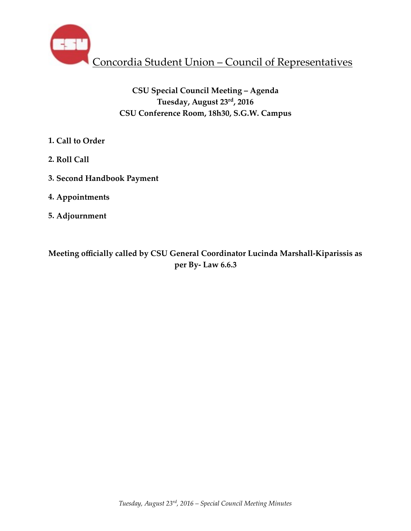

# **CSU Special Council Meeting – Agenda Tuesday, August 23rd, 2016 CSU Conference Room, 18h30, S.G.W. Campus**

- **1. Call to Order**
- **2. Roll Call**
- **3. Second Handbook Payment**
- **4. Appointments**
- **5. Adjournment**

**Meeting officially called by CSU General Coordinator Lucinda Marshall-Kiparissis as per By- Law 6.6.3**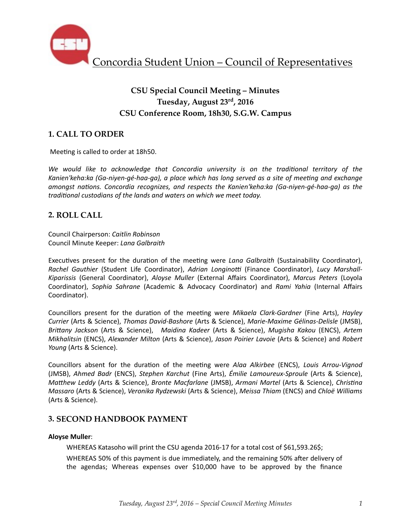

# **CSU Special Council Meeting – Minutes Tuesday, August 23rd, 2016 CSU Conference Room, 18h30, S.G.W. Campus**

# **1. CALL TO ORDER**

Meeting is called to order at 18h50.

We would like to acknowledge that Concordia university is on the traditional territory of the Kanien'keha:ka (Ga-niyen-gé-haa-ga), a place which has long served as a site of meeting and exchange *amongst nations. Concordia recognizes, and respects the Kanien'keha:ka (Ga-niyen-gé-haa-ga)* as the *traditional custodians of the lands and waters on which we meet today.* 

## **2. ROLL CALL**

Council Chairperson: *Caitlin Robinson* Council Minute Keeper: *Lana Galbraith*

Executives present for the duration of the meeting were *Lana Galbraith* (Sustainability Coordinator), Rachel Gauthier (Student Life Coordinator), Adrian Longinotti (Finance Coordinator), Lucy Marshall-*Kiparissis*  (General Coordinator), *Aloyse Muller*  (External Affairs Coordinator), *Marcus Peters*  (Loyola Coordinator), Sophia Sahrane (Academic & Advocacy Coordinator) and Rami Yahia (Internal Affairs Coordinator). 

Councillors present for the duration of the meeting were *Mikaela Clark-Gardner* (Fine Arts), *Hayley Currier* (Arts & Science), *Thomas David-Bashore* (Arts & Science), *Marie-Maxime Gélinas-Delisle* (JMSB), *Brittany Jackson* (Arts & Science), *Maidina Kadeer* (Arts & Science), *Mugisha Kakou* (ENCS), *Artem Mikhalitsin* (ENCS), Alexander Milton (Arts & Science), Jason Poirier Lavoie (Arts & Science) and Robert *Young* (Arts & Science).

Councillors absent for the duration of the meeting were Alaa Alkirbee (ENCS), Louis Arrou-Vignod (JMSB), *Ahmed Badr* (ENCS), *Stephen Karchut* (Fine Arts), *Émilie Lamoureux-Sproule* (Arts & Science), *Matthew Leddy* (Arts & Science), *Bronte Macfarlane* (JMSB), *Armani Martel* (Arts & Science), *Christina Massaro* (Arts & Science), *Veronika Rydzewski* (Arts & Science), *Meissa Thiam* (ENCS) and *Chloë Williams* (Arts & Science).

## **3. SECOND HANDBOOK PAYMENT**

### **Aloyse Muller**:

WHEREAS Katasoho will print the CSU agenda 2016-17 for a total cost of \$61,593.26\$; WHEREAS 50% of this payment is due immediately, and the remaining 50% after delivery of the agendas; Whereas expenses over  $$10,000$  have to be approved by the finance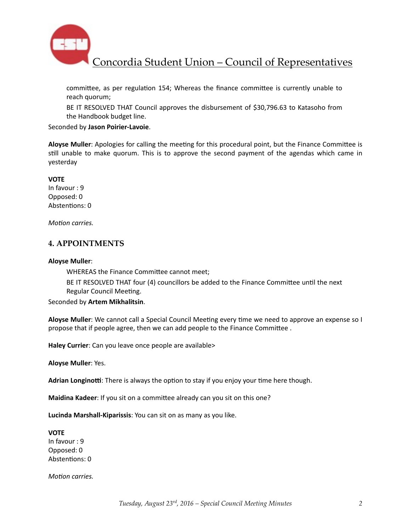

Concordia Student Union – Council of Representatives

committee, as per regulation 154; Whereas the finance committee is currently unable to reach quorum;

BE IT RESOLVED THAT Council approves the disbursement of \$30,796.63 to Katasoho from the Handbook budget line.

#### Seconded by **Jason Poirier-Lavoie**.

Aloyse Muller: Apologies for calling the meeting for this procedural point, but the Finance Committee is still unable to make quorum. This is to approve the second payment of the agendas which came in yesterday

#### **VOTE**

In favour : 9 Opposed: 0 Abstentions: 0

*Motion carries.* 

### **4. APPOINTMENTS**

#### **Aloyse Muller**:

WHEREAS the Finance Committee cannot meet;

BE IT RESOLVED THAT four (4) councillors be added to the Finance Committee until the next Regular Council Meeting.

#### Seconded by **Artem Mikhalitsin**.

**Aloyse Muller**: We cannot call a Special Council Meeting every time we need to approve an expense so I propose that if people agree, then we can add people to the Finance Committee.

**Haley Currier**: Can you leave once people are available>

**Aloyse Muller: Yes.** 

**Adrian Longinotti:** There is always the option to stay if you enjoy your time here though.

**Maidina Kadeer**: If you sit on a committee already can you sit on this one?

**Lucinda Marshall-Kiparissis**: You can sit on as many as you like.

**VOTE** In favour : 9 Opposed: 0 Abstentions: 0

*Motion carries.*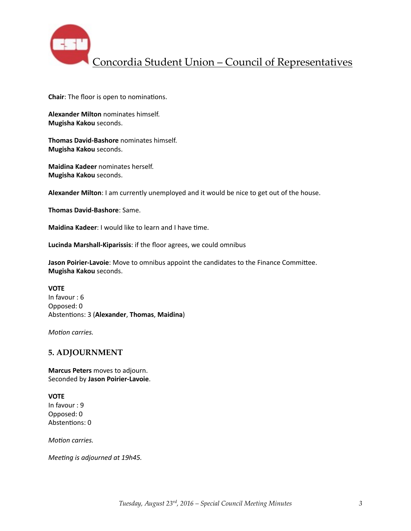

Concordia Student Union – Council of Representatives

**Chair:** The floor is open to nominations.

**Alexander Milton** nominates himself. **Mugisha Kakou** seconds. 

**Thomas David-Bashore** nominates himself. **Mugisha Kakou** seconds. 

**Maidina Kadeer** nominates herself. **Mugisha Kakou** seconds. 

**Alexander Milton**: I am currently unemployed and it would be nice to get out of the house.

**Thomas David-Bashore**: Same. 

**Maidina Kadeer:** I would like to learn and I have time.

Lucinda Marshall-Kiparissis: if the floor agrees, we could omnibus

**Jason Poirier-Lavoie**: Move to omnibus appoint the candidates to the Finance Committee. **Mugisha Kakou** seconds. 

**VOTE**  In favour  $: 6$ Opposed: 0 Abstentions: 3 (Alexander, Thomas, Maidina)

*Motion carries.* 

### **5. ADJOURNMENT**

**Marcus Peters** moves to adjourn. Seconded by **Jason Poirier-Lavoie**. 

**VOTE** In favour : 9 Opposed: 0 Abstentions: 0

*Motion carries.* 

*Meeting is adjourned at 19h45.*